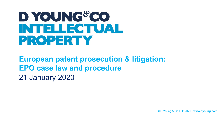## D YOUNG CO **INTELLECTUAL** PROPERTY

**European patent prosecution & litigation: EPO case law and procedure** 21 January 2020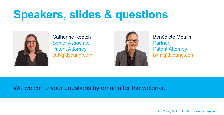## **Speakers, slides & questions**



Catherine Keetch Senior Associate, Patent Attorney cak@dyoung.com



Bénédicte Moulin Partner, Patent Attorney bxm@dyoung.com

#### We welcome your questions by email after the webinar.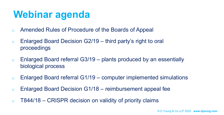#### **Webinar agenda**

- o Amended Rules of Procedure of the Boards of Appeal
- $\circ$  Enlarged Board Decision G2/19 third party's right to oral proceedings
- $\circ$  Enlarged Board referral G3/19 plants produced by an essentially biological process
- $\circ$  Enlarged Board referral G1/19 computer implemented simulations
- $\circ$  Enlarged Board Decision G1/18 reimbursement appeal fee
- $\circ$  T844/18 CRISPR decision on validity of priority claims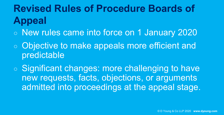**Revised Rules of Procedure Boards of Appeal**

- New rules came into force on 1 January 2020
- Objective to make appeals more efficient and predictable
- Significant changes: more challenging to have new requests, facts, objections, or arguments admitted into proceedings at the appeal stage.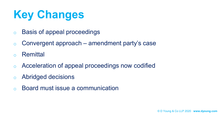# **Key Changes**

- o Basis of appeal proceedings
- $\circ$  Convergent approach amendment party's case
- **Remittal**
- o Acceleration of appeal proceedings now codified
- o Abridged decisions
- o Board must issue a communication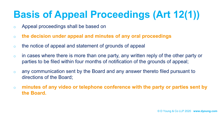#### **Basis of Appeal Proceedings (Art 12(1))**

- o Appeal proceedings shall be based on
- o **the decision under appeal and minutes of any oral proceedings**
- o the notice of appeal and statement of grounds of appeal
- $\circ$  in cases where there is more than one party, any written reply of the other party or parties to be filed within four months of notification of the grounds of appeal;
- o any communication sent by the Board and any answer thereto filed pursuant to directions of the Board;
- o **minutes of any video or telephone conference with the party or parties sent by the Board.**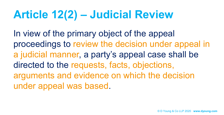# **Article 12(2) – Judicial Review**

In view of the primary object of the appeal proceedings to review the decision under appeal in a judicial manner, a party's appeal case shall be directed to the requests, facts, objections, arguments and evidence on which the decision under appeal was based.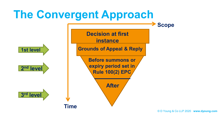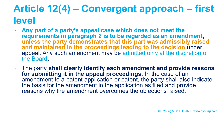#### **Article 12(4) – Convergent approach – first level**

- Any part of a party's appeal case which does not meet the **requirements in paragraph 2 is to be regarded as an amendment, unless the party demonstrates that this part was admissibly raised and maintained in the proceedings leading to the decision** under appeal. Any such amendment may be admitted only at the discretion of the Board.
- o The party **shall clearly identify each amendment and provide reasons for submitting it in the appeal proceedings**. In the case of an amendment to a patent application or patent, the party shall also indicate the basis for the amendment in the application as filed and provide reasons why the amendment overcomes the objections raised.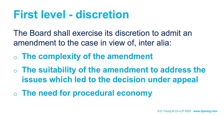#### **First level - discretion**

The Board shall exercise its discretion to admit an amendment to the case in view of, inter alia:

o **The complexity of the amendment**

o **The suitability of the amendment to address the issues which led to the decision under appeal**

o **The need for procedural economy**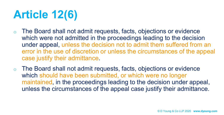# **Article 12(6)**

- The Board shall not admit requests, facts, objections or evidence which were not admitted in the proceedings leading to the decision under appeal, unless the decision not to admit them suffered from an error in the use of discretion or unless the circumstances of the appeal case justify their admittance.
- o The Board shall not admit requests, facts, objections or evidence which should have been submitted, or which were no longer maintained, in the proceedings leading to the decision under appeal, unless the circumstances of the appeal case justify their admittance.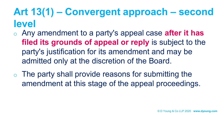#### **Art 13(1) – Convergent approach – second level**

- o Any amendment to a party's appeal case **after it has filed its grounds of appeal or reply** is subject to the party's justification for its amendment and may be admitted only at the discretion of the Board.
- $\circ$  The party shall provide reasons for submitting the amendment at this stage of the appeal proceedings.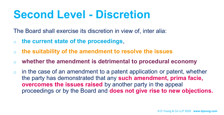#### **Second Level - Discretion**

The Board shall exercise its discretion in view of, inter alia:

- o **the current state of the proceedings**,
- o **the suitability of the amendment to resolve the issues**
- o **whether the amendment is detrimental to procedural economy**
- $\circ$  in the case of an amendment to a patent application or patent, whether the party has demonstrated that any **such amendment, prima facie, overcomes the issues raised** by another party in the appeal proceedings or by the Board and **does not give rise to new objections.**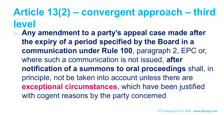#### **Article 13(2) – convergent approach – third level**

Any amendment to a party's appeal case made after **the expiry of a period specified by the Board in a communication under Rule 100**, paragraph 2, EPC or, where such a communication is not issued, **after notification of a summons to oral proceedings** shall, in principle, not be taken into account unless there are **exceptional circumstances**, which have been justified with cogent reasons by the party concerned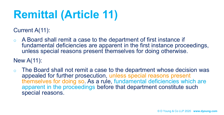# **Remittal (Article 11)**

Current A(11):

o A Board shall remit a case to the department of first instance if fundamental deficiencies are apparent in the first instance proceedings, unless special reasons present themselves for doing otherwise.

#### New A(11):

The Board shall not remit a case to the department whose decision was appealed for further prosecution, unless special reasons present themselves for doing so. As a rule, fundamental deficiencies which are apparent in the proceedings before that department constitute such special reasons.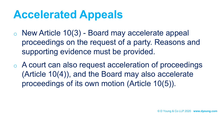### **Accelerated Appeals**

- New Article 10(3) Board may accelerate appeal proceedings on the request of a party. Reasons and supporting evidence must be provided.
- o A court can also request acceleration of proceedings (Article 10(4)), and the Board may also accelerate proceedings of its own motion (Article 10(5)).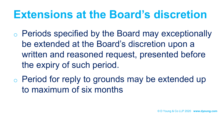#### **Extensions at the Board's discretion**

- o Periods specified by the Board may exceptionally be extended at the Board's discretion upon a written and reasoned request, presented before the expiry of such period.
- o Period for reply to grounds may be extended up to maximum of six months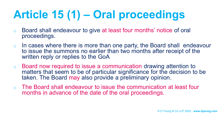# **Article 15 (1) – Oral proceedings**

- o Board shall endeavour to give at least four months' notice of oral proceedings.
- $\circ$  In cases where there is more than one party, the Board shall endeavour to issue the summons no earlier than two months after receipt of the written reply or replies to the GoA
- o Board now required to issue a communication drawing attention to matters that seem to be of particular significance for the decision to be taken. The Board may also provide a preliminary opinion.
- o The Board shall endeavour to issue the communication at least four months in advance of the date of the oral proceedings.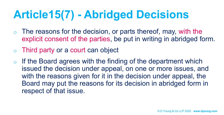## **Article15(7) - Abridged Decisions**

- $\circ$  The reasons for the decision, or parts thereof, may, with the explicit consent of the parties, be put in writing in abridged form.
- $\circ$  Third party or a court can object
- $\circ$  If the Board agrees with the finding of the department which issued the decision under appeal, on one or more issues, and with the reasons given for it in the decision under appeal, the Board may put the reasons for its decision in abridged form in respect of that issue.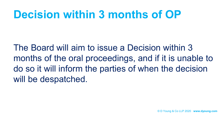#### **Decision within 3 months of OP**

The Board will aim to issue a Decision within 3 months of the oral proceedings, and if it is unable to do so it will inform the parties of when the decision will be despatched.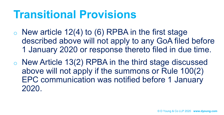#### **Transitional Provisions**

- $\circ$  New article 12(4) to (6) RPBA in the first stage described above will not apply to any GoA filed before 1 January 2020 or response thereto filed in due time.
- o New Article 13(2) RPBA in the third stage discussed above will not apply if the summons or Rule 100(2) EPC communication was notified before 1 January 2020.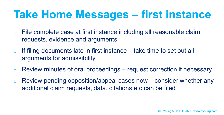## **Take Home Messages – first instance**

- o File complete case at first instance including all reasonable claim requests, evidence and arguments
- $\circ$  If filing documents late in first instance take time to set out all arguments for admissibility
- $\circ$  Review minutes of oral proceedings request correction if necessary
- $\circ$  Review pending opposition/appeal cases now consider whether any additional claim requests, data, citations etc can be filed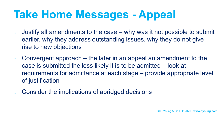## **Take Home Messages - Appeal**

- $\circ$  Justify all amendments to the case why was it not possible to submit earlier, why they address outstanding issues, why they do not give rise to new objections
- $\circ$  Convergent approach the later in an appeal an amendment to the case is submitted the less likely it is to be admitted – look at requirements for admittance at each stage – provide appropriate level of justification
- o Consider the implications of abridged decisions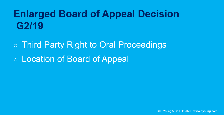#### **Enlarged Board of Appeal Decision G2/19**

○ Third Party Right to Oral Proceedings ○ Location of Board of Appeal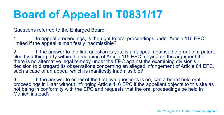## **Board of Appeal in T0831/17**

Questions referred to the Enlarged Board:

1. In appeal proceedings, is the right to oral proceedings under Article 116 EPC limited if the appeal is manifestly inadmissible?

2. If the answer to the first question is yes, is an appeal against the grant of a patent filed by a third party within the meaning of Article 115 EPC, relying on the argument that there is no alternative legal remedy under the EPC against the examining division's decision to disregard its observations concerning an alleged infringement of Article 84 EPC, such a case of an appeal which is manifestly inadmissible?

3. If the answer to either of the first two questions is no, can a board hold oral proceedings in Haar without infringing Article 116 EPC if the appellant objects to this site as not being in conformity with the EPC and requests that the oral proceedings be held in Munich instead?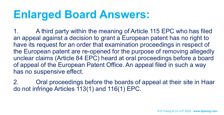### **Enlarged Board Answers:**

1. A third party within the meaning of Article 115 EPC who has filed an appeal against a decision to grant a European patent has no right to have its request for an order that examination proceedings in respect of the European patent are re-opened for the purpose of removing allegedly unclear claims (Article 84 EPC) heard at oral proceedings before a board of appeal of the European Patent Office. An appeal filed in such a way has no suspensive effect.

2. Oral proceedings before the boards of appeal at their site in Haar do not infringe Articles 113(1) and 116(1) EPC.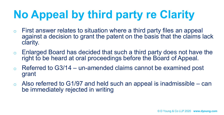# **No Appeal by third party re Clarity**

- $\circ$  First answer relates to situation where a third party files an appeal against a decision to grant the patent on the basis that the claims lack clarity.
- o Enlarged Board has decided that such a third party does not have the right to be heard at oral proceedings before the Board of Appeal.
- $\circ$  Referred to G3/14 un-amended claims cannot be examined post grant
- $\circ$  Also referred to G1/97 and held such an appeal is inadmissible can be immediately rejected in writing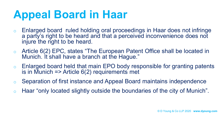## **Appeal Board in Haar**

- o Enlarged board ruled holding oral proceedings in Haar does not infringe a party's right to be heard and that a perceived inconvenience does not injure the right to be heard.
- o Article 6(2) EPC, states "The European Patent Office shall be located in Munich. It shall have a branch at the Hague."
- $\circ$  Enlarged board held that main EPO body responsible for granting patents is in Munich  $\Rightarrow$  Article 6(2) requirements met
- o Separation of first instance and Appeal Board maintains independence
- o Haar "only located slightly outside the boundaries of the city of Munich".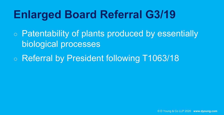## **Enlarged Board Referral G3/19**

○ Patentability of plants produced by essentially biological processes

○ Referral by President following T1063/18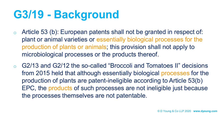## **G3/19 - Background**

- o Article 53 (b): European patents shall not be granted in respect of: plant or animal varieties or essentially biological processes for the production of plants or animals; this provision shall not apply to microbiological processes or the products thereof.
- o G2/13 and G2/12 the so-called "Broccoli and Tomatoes II" decisions from 2015 held that although essentially biological processes for the production of plants are patent-ineligible according to Article 53(b) EPC, the products of such processes are not ineligible just because the processes themselves are not patentable.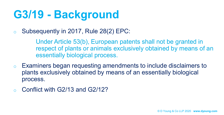# **G3/19 - Background**

o Subsequently in 2017, Rule 28(2) EPC:

Under Article 53(b), European patents shall not be granted in respect of plants or animals exclusively obtained by means of an essentially biological process.

- o Examiners began requesting amendments to include disclaimers to plants exclusively obtained by means of an essentially biological process.
- Conflict with G2/13 and G2/12?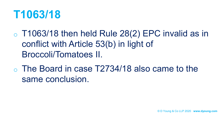#### **T1063/18**

- $\circ$  T1063/18 then held Rule 28(2) EPC invalid as in conflict with Article 53(b) in light of Broccoli/Tomatoes II.
- The Board in case T2734/18 also came to the same conclusion.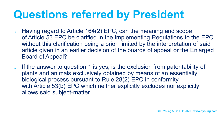## **Questions referred by President**

- $\circ$  Having regard to Article 164(2) EPC, can the meaning and scope of Article 53 EPC be clarified in the Implementing Regulations to the EPC without this clarification being a priori limited by the interpretation of said article given in an earlier decision of the boards of appeal or the Enlarged Board of Appeal?
- $\circ$  If the answer to question 1 is yes, is the exclusion from patentability of plants and animals exclusively obtained by means of an essentially biological process pursuant to Rule 28(2) EPC in conformity with Article 53(b) EPC which neither explicitly excludes nor explicitly allows said subject-matter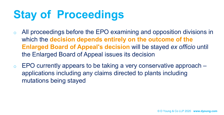# **Stay of Proceedings**

- o All proceedings before the EPO examining and opposition divisions in which the **decision depends entirely on the outcome of the Enlarged Board of Appeal's decision** will be stayed *ex officio* until the Enlarged Board of Appeal issues its decision
- $\circ$  EPO currently appears to be taking a very conservative approach  $$ applications including any claims directed to plants including mutations being stayed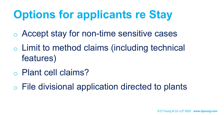# **Options for applicants re Stay**

- o Accept stay for non-time sensitive cases
- o Limit to method claims (including technical features)
- o Plant cell claims?

o File divisional application directed to plants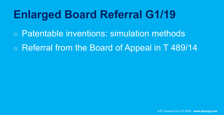## **Enlarged Board Referral G1/19**

- Patentable inventions: simulation methods
- Referral from the Board of Appeal in T 489/14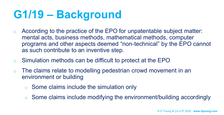## **G1/19 – Background**

- o According to the practice of the EPO for unpatentable subject matter: mental acts, business methods, mathematical methods, computer programs and other aspects deemed "non-technical" by the EPO cannot as such contribute to an inventive step.
- o Simulation methods can be difficult to protect at the EPO
- o The claims relate to modelling pedestrian crowd movement in an environment or building
	- o Some claims include the simulation only
	- o Some claims include modifying the environment/building accordingly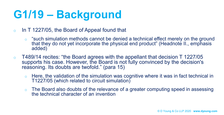# **G1/19 – Background**

- $\circ$  In T 1227/05, the Board of Appeal found that
	- $\circ$  "such simulation methods cannot be denied a technical effect merely on the ground that they do not yet incorporate the physical end product" (Headnote II., emphasis added)
- $\circ$  T489/14 recites: "the Board agrees with the appellant that decision T 1227/05 supports his case. However, the Board is not fully convinced by the decision's reasoning. Its doubts are twofold." (para 15)
	- $\circ$  Here, the validation of the simulation was cognitive where it was in fact technical in T1227/05 (which related to circuit simulation)
	- o The Board also doubts of the relevance of a greater computing speed in assessing the technical character of an invention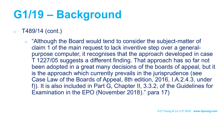## **G1/19 – Background**

#### $\circ$  T489/14 (cont.)

o "Although the Board would tend to consider the subject-matter of claim 1 of the main request to lack inventive step over a generalpurpose computer, it recognises that the approach developed in case T 1227/05 suggests a different finding. That approach has so far not been adopted in a great many decisions of the boards of appeal, but it is the approach which currently prevails in the jurisprudence (see Case Law of the Boards of Appeal, 8th edition, 2016, I.A.2.4.3, under f)). It is also included in Part G, Chapter II, 3.3.2, of the Guidelines for Examination in the EPO (November 2018)." para 17)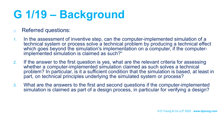# **G 1/19 – Background**

- o Referred questions:
- 1. In the assessment of inventive step, can the computer-implemented simulation of a technical system or process solve a technical problem by producing a technical effect which goes beyond the simulation's implementation on a computer, if the computerimplemented simulation is claimed as such?"
- 2. If the answer to the first question is yes, what are the relevant criteria for assessing whether a computer-implemented simulation claimed as such solves a technical problem? In particular, is it a sufficient condition that the simulation is based, at least in part, on technical principles underlying the simulated system or process?
- 3. What are the answers to the first and second questions if the computer-implemented simulation is claimed as part of a design process, in particular for verifying a design?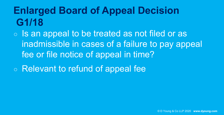#### **Enlarged Board of Appeal Decision G1/18**

- Is an appeal to be treated as not filed or as inadmissible in cases of a failure to pay appeal fee or file notice of appeal in time?
- Relevant to refund of appeal fee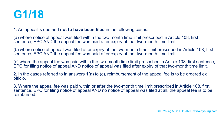

1. An appeal is deemed **not to have been filed** in the following cases:

(a) where notice of appeal was filed within the two-month time limit prescribed in Article 108, first sentence, EPC AND the appeal fee was paid after expiry of that two-month time limit;

(b) where notice of appeal was filed after expiry of the two-month time limit prescribed in Article 108, first sentence, EPC AND the appeal fee was paid after expiry of that two-month time limit;

(c) where the appeal fee was paid within the two-month time limit prescribed in Article 108, first sentence, EPC for filing notice of appeal AND notice of appeal was filed after expiry of that two-month time limit.

2. In the cases referred to in answers 1(a) to (c), reimbursement of the appeal fee is to be ordered ex officio.

3. Where the appeal fee was paid within or after the two-month time limit prescribed in Article 108, first sentence, EPC for filing notice of appeal AND no notice of appeal was filed at all, the appeal fee is to be reimbursed.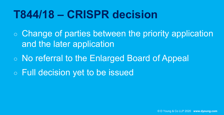#### **T844/18 – CRISPR decision**

○ Change of parties between the priority application and the later application

○ No referral to the Enlarged Board of Appeal

○ Full decision yet to be issued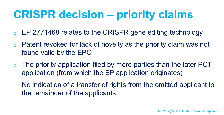## **CRISPR decision – priority claims**

- EP 2771468 relates to the CRISPR gene editing technology
- o Patent revoked for lack of novelty as the priority claim was not found valid by the EPO
- $\circ$  The priority application filed by more parties than the later PCT application (from which the EP application originates)
- $\circ$  No indication of a transfer of rights from the omitted applicant to the remainder of the applicants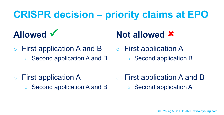#### **CRISPR decision – priority claims at EPO**

#### **Allowed**

○ First application A and B ○ Second application A and B

#### **Not allowed**

○ First application A ○ Second application **B** 

- First application A
	- Second application A and B
- First application A and B Second application A